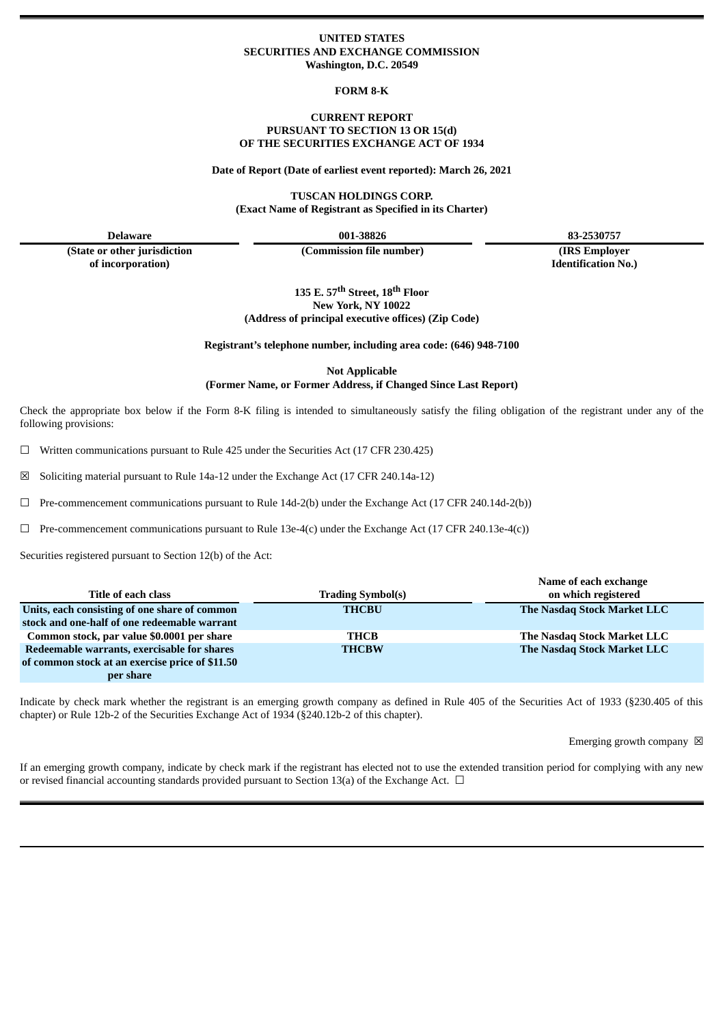# **UNITED STATES SECURITIES AND EXCHANGE COMMISSION Washington, D.C. 20549**

**FORM 8-K**

# **CURRENT REPORT PURSUANT TO SECTION 13 OR 15(d) OF THE SECURITIES EXCHANGE ACT OF 1934**

**Date of Report (Date of earliest event reported): March 26, 2021**

**TUSCAN HOLDINGS CORP. (Exact Name of Registrant as Specified in its Charter)**

**(State or other jurisdiction of incorporation)**

**(Commission file number) (IRS Employer**

**Delaware 001-38826 83-2530757**

**Identification No.)**

**135 E. 57 th Street, 18 th Floor New York, NY 10022 (Address of principal executive offices) (Zip Code)**

**Registrant's telephone number, including area code: (646) 948-7100**

**Not Applicable (Former Name, or Former Address, if Changed Since Last Report)**

Check the appropriate box below if the Form 8-K filing is intended to simultaneously satisfy the filing obligation of the registrant under any of the following provisions:

 $\Box$  Written communications pursuant to Rule 425 under the Securities Act (17 CFR 230.425)

☒ Soliciting material pursuant to Rule 14a-12 under the Exchange Act (17 CFR 240.14a-12)

 $\Box$  Pre-commencement communications pursuant to Rule 14d-2(b) under the Exchange Act (17 CFR 240.14d-2(b))

 $\Box$  Pre-commencement communications pursuant to Rule 13e-4(c) under the Exchange Act (17 CFR 240.13e-4(c))

Securities registered pursuant to Section 12(b) of the Act:

|                                                 |                          | Name of each exchange       |
|-------------------------------------------------|--------------------------|-----------------------------|
| Title of each class                             | <b>Trading Symbol(s)</b> | on which registered         |
| Units, each consisting of one share of common   | <b>THCBU</b>             | The Nasdaq Stock Market LLC |
| stock and one-half of one redeemable warrant    |                          |                             |
| Common stock, par value \$0.0001 per share      | THCB                     | The Nasdaq Stock Market LLC |
| Redeemable warrants, exercisable for shares     | <b>THCBW</b>             | The Nasdag Stock Market LLC |
| of common stock at an exercise price of \$11.50 |                          |                             |
| per share                                       |                          |                             |

Indicate by check mark whether the registrant is an emerging growth company as defined in Rule 405 of the Securities Act of 1933 (§230.405 of this chapter) or Rule 12b-2 of the Securities Exchange Act of 1934 (§240.12b-2 of this chapter).

Emerging growth company  $\boxtimes$ 

If an emerging growth company, indicate by check mark if the registrant has elected not to use the extended transition period for complying with any new or revised financial accounting standards provided pursuant to Section 13(a) of the Exchange Act.  $\Box$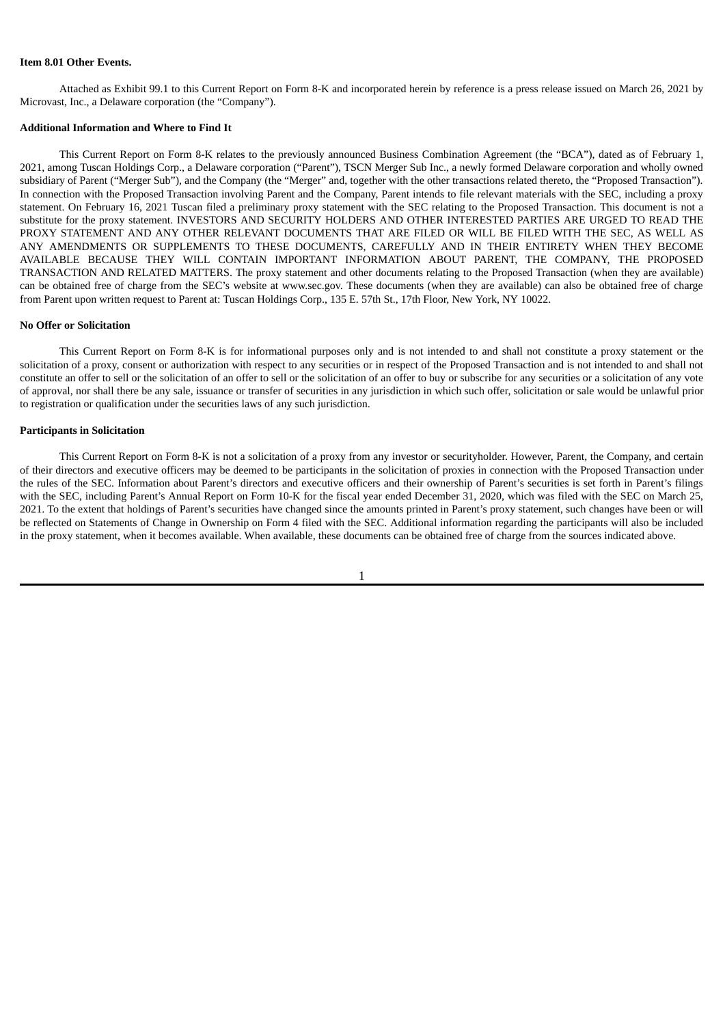# **Item 8.01 Other Events.**

Attached as Exhibit 99.1 to this Current Report on Form 8-K and incorporated herein by reference is a press release issued on March 26, 2021 by Microvast, Inc., a Delaware corporation (the "Company").

# **Additional Information and Where to Find It**

This Current Report on Form 8-K relates to the previously announced Business Combination Agreement (the "BCA"), dated as of February 1, 2021, among Tuscan Holdings Corp., a Delaware corporation ("Parent"), TSCN Merger Sub Inc., a newly formed Delaware corporation and wholly owned subsidiary of Parent ("Merger Sub"), and the Company (the "Merger" and, together with the other transactions related thereto, the "Proposed Transaction"). In connection with the Proposed Transaction involving Parent and the Company, Parent intends to file relevant materials with the SEC, including a proxy statement. On February 16, 2021 Tuscan filed a preliminary proxy statement with the SEC relating to the Proposed Transaction. This document is not a substitute for the proxy statement. INVESTORS AND SECURITY HOLDERS AND OTHER INTERESTED PARTIES ARE URGED TO READ THE PROXY STATEMENT AND ANY OTHER RELEVANT DOCUMENTS THAT ARE FILED OR WILL BE FILED WITH THE SEC, AS WELL AS ANY AMENDMENTS OR SUPPLEMENTS TO THESE DOCUMENTS, CAREFULLY AND IN THEIR ENTIRETY WHEN THEY BECOME AVAILABLE BECAUSE THEY WILL CONTAIN IMPORTANT INFORMATION ABOUT PARENT, THE COMPANY, THE PROPOSED TRANSACTION AND RELATED MATTERS. The proxy statement and other documents relating to the Proposed Transaction (when they are available) can be obtained free of charge from the SEC's website at www.sec.gov. These documents (when they are available) can also be obtained free of charge from Parent upon written request to Parent at: Tuscan Holdings Corp., 135 E. 57th St., 17th Floor, New York, NY 10022.

### **No Offer or Solicitation**

This Current Report on Form 8-K is for informational purposes only and is not intended to and shall not constitute a proxy statement or the solicitation of a proxy, consent or authorization with respect to any securities or in respect of the Proposed Transaction and is not intended to and shall not constitute an offer to sell or the solicitation of an offer to sell or the solicitation of an offer to buy or subscribe for any securities or a solicitation of any vote of approval, nor shall there be any sale, issuance or transfer of securities in any jurisdiction in which such offer, solicitation or sale would be unlawful prior to registration or qualification under the securities laws of any such jurisdiction.

# **Participants in Solicitation**

This Current Report on Form 8-K is not a solicitation of a proxy from any investor or securityholder. However, Parent, the Company, and certain of their directors and executive officers may be deemed to be participants in the solicitation of proxies in connection with the Proposed Transaction under the rules of the SEC. Information about Parent's directors and executive officers and their ownership of Parent's securities is set forth in Parent's filings with the SEC, including Parent's Annual Report on Form 10-K for the fiscal year ended December 31, 2020, which was filed with the SEC on March 25, 2021. To the extent that holdings of Parent's securities have changed since the amounts printed in Parent's proxy statement, such changes have been or will be reflected on Statements of Change in Ownership on Form 4 filed with the SEC. Additional information regarding the participants will also be included in the proxy statement, when it becomes available. When available, these documents can be obtained free of charge from the sources indicated above.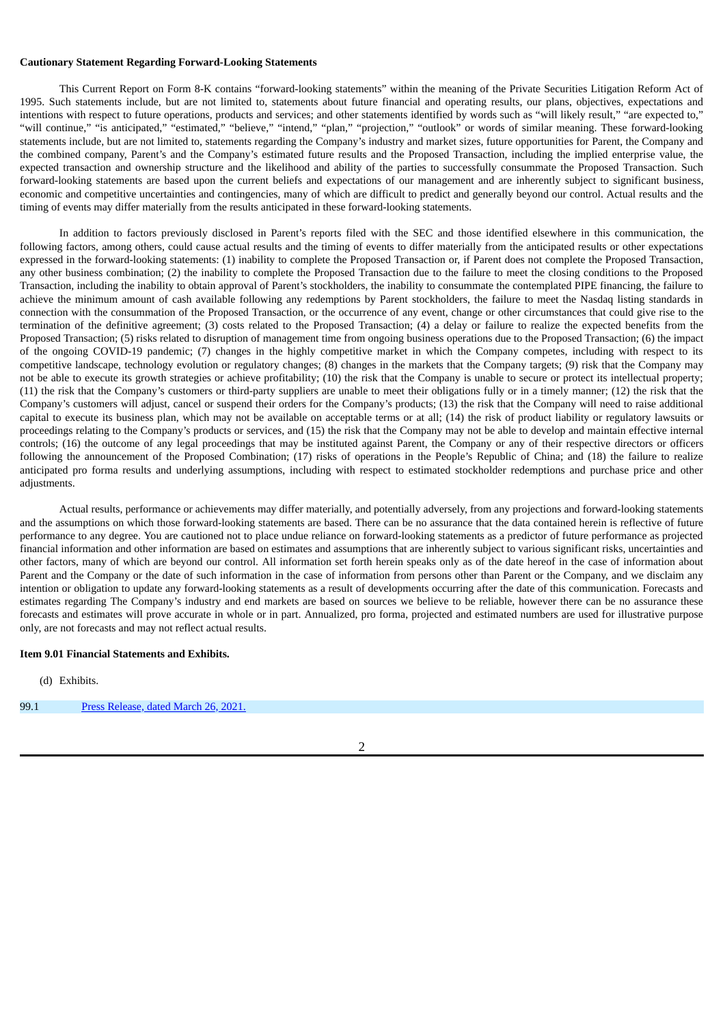# **Cautionary Statement Regarding Forward-Looking Statements**

This Current Report on Form 8-K contains "forward-looking statements" within the meaning of the Private Securities Litigation Reform Act of 1995. Such statements include, but are not limited to, statements about future financial and operating results, our plans, objectives, expectations and intentions with respect to future operations, products and services; and other statements identified by words such as "will likely result," "are expected to," "will continue," "is anticipated," "estimated," "believe," "intend," "plan," "projection," "outlook" or words of similar meaning. These forward-looking statements include, but are not limited to, statements regarding the Company's industry and market sizes, future opportunities for Parent, the Company and the combined company, Parent's and the Company's estimated future results and the Proposed Transaction, including the implied enterprise value, the expected transaction and ownership structure and the likelihood and ability of the parties to successfully consummate the Proposed Transaction. Such forward-looking statements are based upon the current beliefs and expectations of our management and are inherently subject to significant business, economic and competitive uncertainties and contingencies, many of which are difficult to predict and generally beyond our control. Actual results and the timing of events may differ materially from the results anticipated in these forward-looking statements.

In addition to factors previously disclosed in Parent's reports filed with the SEC and those identified elsewhere in this communication, the following factors, among others, could cause actual results and the timing of events to differ materially from the anticipated results or other expectations expressed in the forward-looking statements: (1) inability to complete the Proposed Transaction or, if Parent does not complete the Proposed Transaction, any other business combination; (2) the inability to complete the Proposed Transaction due to the failure to meet the closing conditions to the Proposed Transaction, including the inability to obtain approval of Parent's stockholders, the inability to consummate the contemplated PIPE financing, the failure to achieve the minimum amount of cash available following any redemptions by Parent stockholders, the failure to meet the Nasdaq listing standards in connection with the consummation of the Proposed Transaction, or the occurrence of any event, change or other circumstances that could give rise to the termination of the definitive agreement; (3) costs related to the Proposed Transaction; (4) a delay or failure to realize the expected benefits from the Proposed Transaction; (5) risks related to disruption of management time from ongoing business operations due to the Proposed Transaction; (6) the impact of the ongoing COVID-19 pandemic; (7) changes in the highly competitive market in which the Company competes, including with respect to its competitive landscape, technology evolution or regulatory changes; (8) changes in the markets that the Company targets; (9) risk that the Company may not be able to execute its growth strategies or achieve profitability; (10) the risk that the Company is unable to secure or protect its intellectual property; (11) the risk that the Company's customers or third-party suppliers are unable to meet their obligations fully or in a timely manner; (12) the risk that the Company's customers will adjust, cancel or suspend their orders for the Company's products; (13) the risk that the Company will need to raise additional capital to execute its business plan, which may not be available on acceptable terms or at all; (14) the risk of product liability or regulatory lawsuits or proceedings relating to the Company's products or services, and (15) the risk that the Company may not be able to develop and maintain effective internal controls; (16) the outcome of any legal proceedings that may be instituted against Parent, the Company or any of their respective directors or officers following the announcement of the Proposed Combination; (17) risks of operations in the People's Republic of China; and (18) the failure to realize anticipated pro forma results and underlying assumptions, including with respect to estimated stockholder redemptions and purchase price and other adjustments.

Actual results, performance or achievements may differ materially, and potentially adversely, from any projections and forward-looking statements and the assumptions on which those forward-looking statements are based. There can be no assurance that the data contained herein is reflective of future performance to any degree. You are cautioned not to place undue reliance on forward-looking statements as a predictor of future performance as projected financial information and other information are based on estimates and assumptions that are inherently subject to various significant risks, uncertainties and other factors, many of which are beyond our control. All information set forth herein speaks only as of the date hereof in the case of information about Parent and the Company or the date of such information in the case of information from persons other than Parent or the Company, and we disclaim any intention or obligation to update any forward-looking statements as a result of developments occurring after the date of this communication. Forecasts and estimates regarding The Company's industry and end markets are based on sources we believe to be reliable, however there can be no assurance these forecasts and estimates will prove accurate in whole or in part. Annualized, pro forma, projected and estimated numbers are used for illustrative purpose only, are not forecasts and may not reflect actual results.

#### **Item 9.01 Financial Statements and Exhibits.**

(d) Exhibits.

99.1 Press [Release,](#page-4-0) dated March 26, 2021.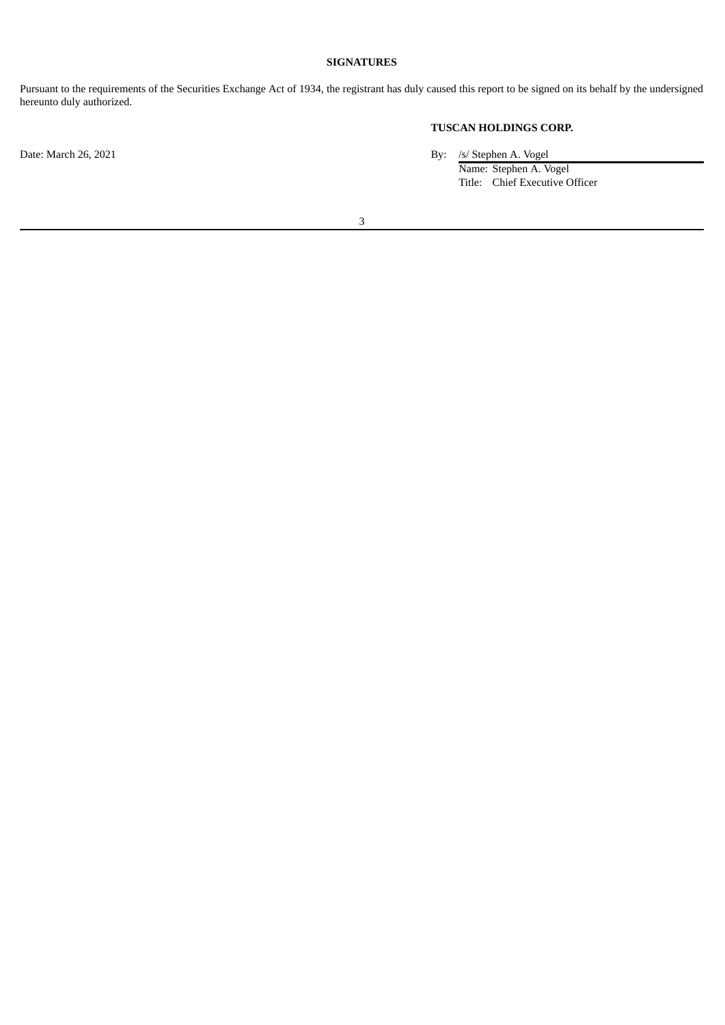# **SIGNATURES**

Pursuant to the requirements of the Securities Exchange Act of 1934, the registrant has duly caused this report to be signed on its behalf by the undersigned hereunto duly authorized.

# **TUSCAN HOLDINGS CORP.**

Date: March 26, 2021 By: /s/ Stephen A. Vogel

Name: Stephen A. Vogel Title: Chief Executive Officer

3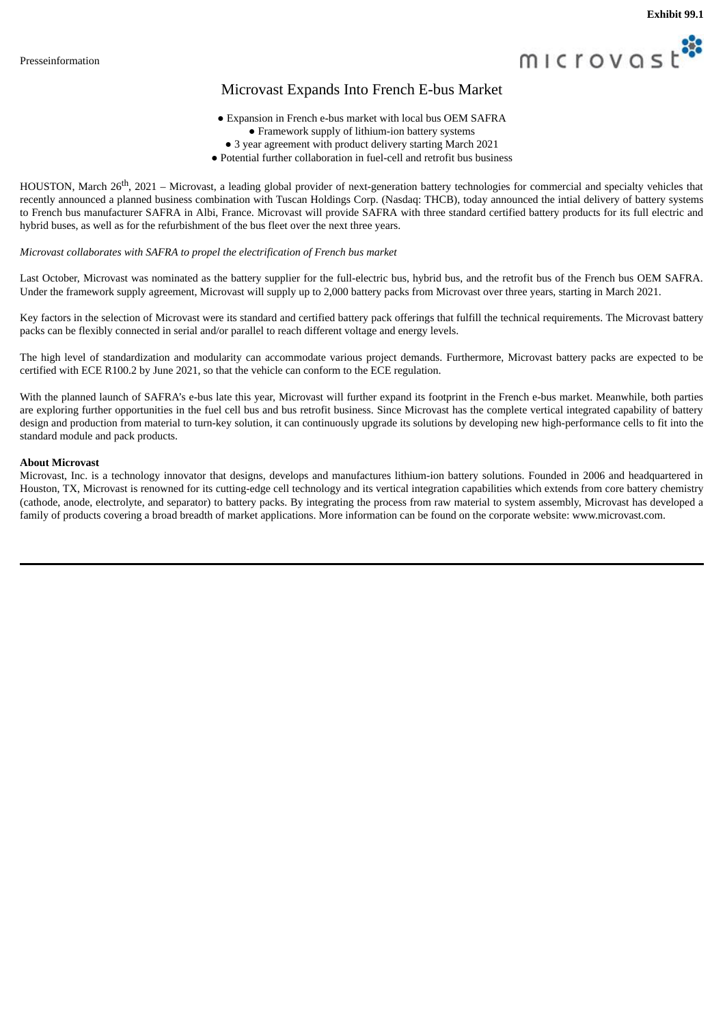

# Microvast Expands Into French E-bus Market

- Expansion in French e-bus market with local bus OEM SAFRA
	- Framework supply of lithium-ion battery systems
	- 3 year agreement with product delivery starting March 2021
- Potential further collaboration in fuel-cell and retrofit bus business

<span id="page-4-0"></span>HOUSTON, March 26<sup>th</sup>, 2021 – Microvast, a leading global provider of next-generation battery technologies for commercial and specialty vehicles that recently announced a planned business combination with Tuscan Holdings Corp. (Nasdaq: THCB), today announced the intial delivery of battery systems to French bus manufacturer SAFRA in Albi, France. Microvast will provide SAFRA with three standard certified battery products for its full electric and hybrid buses, as well as for the refurbishment of the bus fleet over the next three years.

# *Microvast collaborates with SAFRA to propel the electrification of French bus market*

Last October, Microvast was nominated as the battery supplier for the full-electric bus, hybrid bus, and the retrofit bus of the French bus OEM SAFRA. Under the framework supply agreement, Microvast will supply up to 2,000 battery packs from Microvast over three years, starting in March 2021.

Key factors in the selection of Microvast were its standard and certified battery pack offerings that fulfill the technical requirements. The Microvast battery packs can be flexibly connected in serial and/or parallel to reach different voltage and energy levels.

The high level of standardization and modularity can accommodate various project demands. Furthermore, Microvast battery packs are expected to be certified with ECE R100.2 by June 2021, so that the vehicle can conform to the ECE regulation.

With the planned launch of SAFRA's e-bus late this year, Microvast will further expand its footprint in the French e-bus market. Meanwhile, both parties are exploring further opportunities in the fuel cell bus and bus retrofit business. Since Microvast has the complete vertical integrated capability of battery design and production from material to turn-key solution, it can continuously upgrade its solutions by developing new high-performance cells to fit into the standard module and pack products.

# **About Microvast**

Microvast, Inc. is a technology innovator that designs, develops and manufactures lithium-ion battery solutions. Founded in 2006 and headquartered in Houston, TX, Microvast is renowned for its cutting-edge cell technology and its vertical integration capabilities which extends from core battery chemistry (cathode, anode, electrolyte, and separator) to battery packs. By integrating the process from raw material to system assembly, Microvast has developed a family of products covering a broad breadth of market applications. More information can be found on the corporate website: www.microvast.com.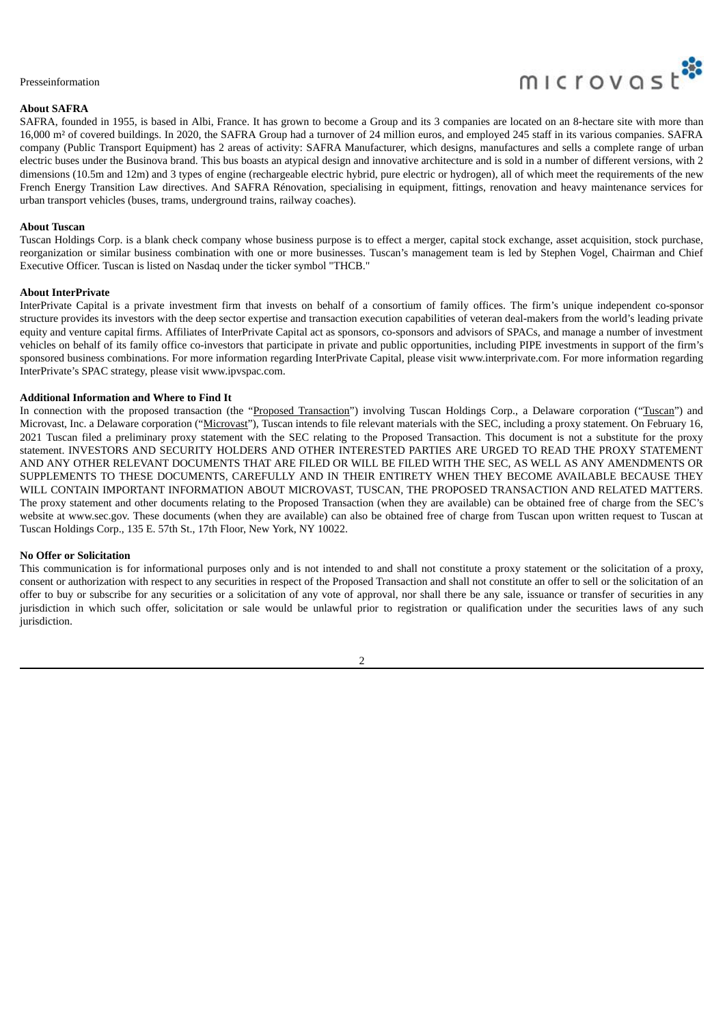#### Presseinformation

# **About SAFRA**



SAFRA, founded in 1955, is based in Albi, France. It has grown to become a Group and its 3 companies are located on an 8-hectare site with more than 16,000 m² of covered buildings. In 2020, the SAFRA Group had a turnover of 24 million euros, and employed 245 staff in its various companies. SAFRA company (Public Transport Equipment) has 2 areas of activity: SAFRA Manufacturer, which designs, manufactures and sells a complete range of urban electric buses under the Businova brand. This bus boasts an atypical design and innovative architecture and is sold in a number of different versions, with 2 dimensions (10.5m and 12m) and 3 types of engine (rechargeable electric hybrid, pure electric or hydrogen), all of which meet the requirements of the new French Energy Transition Law directives. And SAFRA Rénovation, specialising in equipment, fittings, renovation and heavy maintenance services for urban transport vehicles (buses, trams, underground trains, railway coaches).

# **About Tuscan**

Tuscan Holdings Corp. is a blank check company whose business purpose is to effect a merger, capital stock exchange, asset acquisition, stock purchase, reorganization or similar business combination with one or more businesses. Tuscan's management team is led by Stephen Vogel, Chairman and Chief Executive Officer. Tuscan is listed on Nasdaq under the ticker symbol "THCB."

#### **About InterPrivate**

InterPrivate Capital is a private investment firm that invests on behalf of a consortium of family offices. The firm's unique independent co-sponsor structure provides its investors with the deep sector expertise and transaction execution capabilities of veteran deal-makers from the world's leading private equity and venture capital firms. Affiliates of InterPrivate Capital act as sponsors, co-sponsors and advisors of SPACs, and manage a number of investment vehicles on behalf of its family office co-investors that participate in private and public opportunities, including PIPE investments in support of the firm's sponsored business combinations. For more information regarding InterPrivate Capital, please visit www.interprivate.com. For more information regarding InterPrivate's SPAC strategy, please visit www.ipvspac.com.

# **Additional Information and Where to Find It**

In connection with the proposed transaction (the "Proposed Transaction") involving Tuscan Holdings Corp., a Delaware corporation ("Tuscan") and Microvast, Inc. a Delaware corporation ("Microvast"), Tuscan intends to file relevant materials with the SEC, including a proxy statement. On February 16, 2021 Tuscan filed a preliminary proxy statement with the SEC relating to the Proposed Transaction. This document is not a substitute for the proxy statement. INVESTORS AND SECURITY HOLDERS AND OTHER INTERESTED PARTIES ARE URGED TO READ THE PROXY STATEMENT AND ANY OTHER RELEVANT DOCUMENTS THAT ARE FILED OR WILL BE FILED WITH THE SEC, AS WELL AS ANY AMENDMENTS OR SUPPLEMENTS TO THESE DOCUMENTS, CAREFULLY AND IN THEIR ENTIRETY WHEN THEY BECOME AVAILABLE BECAUSE THEY WILL CONTAIN IMPORTANT INFORMATION ABOUT MICROVAST, TUSCAN, THE PROPOSED TRANSACTION AND RELATED MATTERS. The proxy statement and other documents relating to the Proposed Transaction (when they are available) can be obtained free of charge from the SEC's website at www.sec.gov. These documents (when they are available) can also be obtained free of charge from Tuscan upon written request to Tuscan at Tuscan Holdings Corp., 135 E. 57th St., 17th Floor, New York, NY 10022.

#### **No Offer or Solicitation**

This communication is for informational purposes only and is not intended to and shall not constitute a proxy statement or the solicitation of a proxy, consent or authorization with respect to any securities in respect of the Proposed Transaction and shall not constitute an offer to sell or the solicitation of an offer to buy or subscribe for any securities or a solicitation of any vote of approval, nor shall there be any sale, issuance or transfer of securities in any jurisdiction in which such offer, solicitation or sale would be unlawful prior to registration or qualification under the securities laws of any such jurisdiction.

#### $\overline{2}$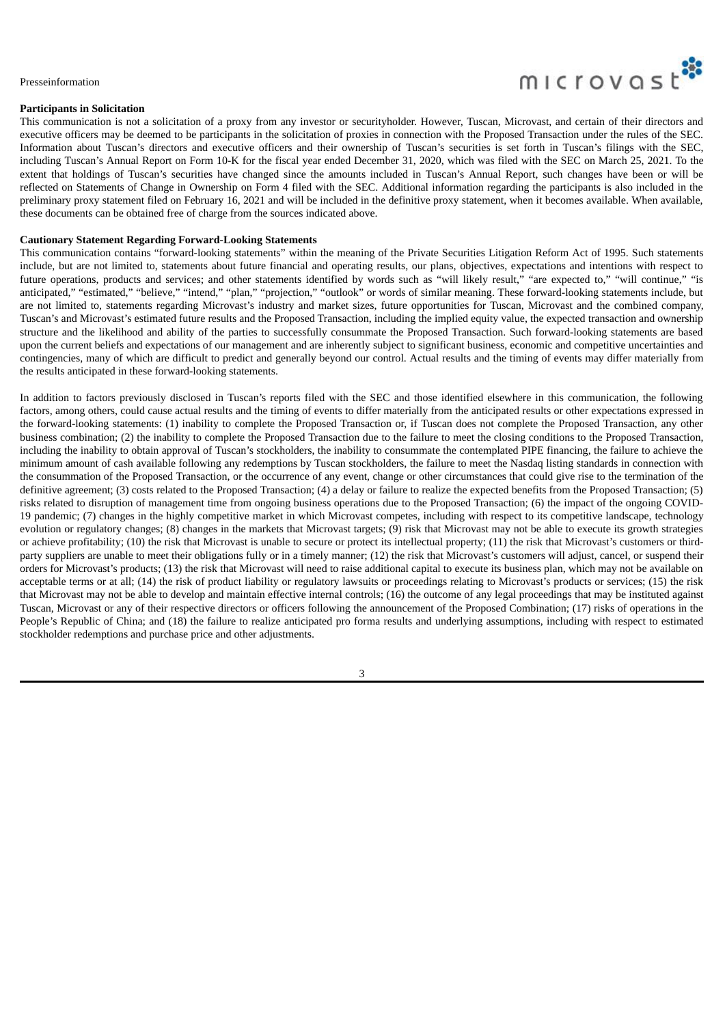#### Presseinformation

## **Participants in Solicitation**

microvast

This communication is not a solicitation of a proxy from any investor or securityholder. However, Tuscan, Microvast, and certain of their directors and executive officers may be deemed to be participants in the solicitation of proxies in connection with the Proposed Transaction under the rules of the SEC. Information about Tuscan's directors and executive officers and their ownership of Tuscan's securities is set forth in Tuscan's filings with the SEC, including Tuscan's Annual Report on Form 10-K for the fiscal year ended December 31, 2020, which was filed with the SEC on March 25, 2021. To the extent that holdings of Tuscan's securities have changed since the amounts included in Tuscan's Annual Report, such changes have been or will be reflected on Statements of Change in Ownership on Form 4 filed with the SEC. Additional information regarding the participants is also included in the preliminary proxy statement filed on February 16, 2021 and will be included in the definitive proxy statement, when it becomes available. When available, these documents can be obtained free of charge from the sources indicated above.

# **Cautionary Statement Regarding Forward-Looking Statements**

This communication contains "forward-looking statements" within the meaning of the Private Securities Litigation Reform Act of 1995. Such statements include, but are not limited to, statements about future financial and operating results, our plans, objectives, expectations and intentions with respect to future operations, products and services; and other statements identified by words such as "will likely result," "are expected to," "will continue," "is anticipated," "estimated," "believe," "intend," "plan," "projection," "outlook" or words of similar meaning. These forward-looking statements include, but are not limited to, statements regarding Microvast's industry and market sizes, future opportunities for Tuscan, Microvast and the combined company, Tuscan's and Microvast's estimated future results and the Proposed Transaction, including the implied equity value, the expected transaction and ownership structure and the likelihood and ability of the parties to successfully consummate the Proposed Transaction. Such forward-looking statements are based upon the current beliefs and expectations of our management and are inherently subject to significant business, economic and competitive uncertainties and contingencies, many of which are difficult to predict and generally beyond our control. Actual results and the timing of events may differ materially from the results anticipated in these forward-looking statements.

In addition to factors previously disclosed in Tuscan's reports filed with the SEC and those identified elsewhere in this communication, the following factors, among others, could cause actual results and the timing of events to differ materially from the anticipated results or other expectations expressed in the forward-looking statements: (1) inability to complete the Proposed Transaction or, if Tuscan does not complete the Proposed Transaction, any other business combination; (2) the inability to complete the Proposed Transaction due to the failure to meet the closing conditions to the Proposed Transaction, including the inability to obtain approval of Tuscan's stockholders, the inability to consummate the contemplated PIPE financing, the failure to achieve the minimum amount of cash available following any redemptions by Tuscan stockholders, the failure to meet the Nasdaq listing standards in connection with the consummation of the Proposed Transaction, or the occurrence of any event, change or other circumstances that could give rise to the termination of the definitive agreement; (3) costs related to the Proposed Transaction; (4) a delay or failure to realize the expected benefits from the Proposed Transaction; (5) risks related to disruption of management time from ongoing business operations due to the Proposed Transaction; (6) the impact of the ongoing COVID-19 pandemic; (7) changes in the highly competitive market in which Microvast competes, including with respect to its competitive landscape, technology evolution or regulatory changes; (8) changes in the markets that Microvast targets; (9) risk that Microvast may not be able to execute its growth strategies or achieve profitability; (10) the risk that Microvast is unable to secure or protect its intellectual property; (11) the risk that Microvast's customers or thirdparty suppliers are unable to meet their obligations fully or in a timely manner; (12) the risk that Microvast's customers will adjust, cancel, or suspend their orders for Microvast's products; (13) the risk that Microvast will need to raise additional capital to execute its business plan, which may not be available on acceptable terms or at all; (14) the risk of product liability or regulatory lawsuits or proceedings relating to Microvast's products or services; (15) the risk that Microvast may not be able to develop and maintain effective internal controls; (16) the outcome of any legal proceedings that may be instituted against Tuscan, Microvast or any of their respective directors or officers following the announcement of the Proposed Combination; (17) risks of operations in the People's Republic of China; and (18) the failure to realize anticipated pro forma results and underlying assumptions, including with respect to estimated stockholder redemptions and purchase price and other adjustments.

3